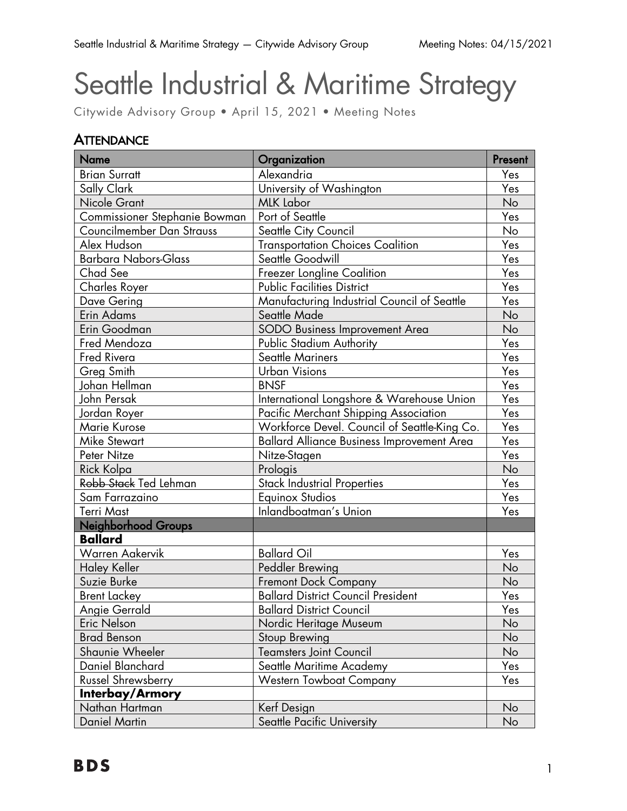# Seattle Industrial & Maritime Strategy

Citywide Advisory Group • April 15, 2021 • Meeting Notes

## **ATTENDANCE**

| <b>Name</b>                   | Organization                                 | Present          |
|-------------------------------|----------------------------------------------|------------------|
| <b>Brian Surratt</b>          | Alexandria                                   | Yes              |
| Sally Clark                   | University of Washington                     | Yes              |
| Nicole Grant                  | <b>MLK Labor</b>                             | No               |
| Commissioner Stephanie Bowman | Port of Seattle                              | Yes              |
| Councilmember Dan Strauss     | Seattle City Council                         | No               |
| Alex Hudson                   | <b>Transportation Choices Coalition</b>      | Yes              |
| <b>Barbara Nabors-Glass</b>   | Seattle Goodwill                             | Yes              |
| Chad See                      | Freezer Longline Coalition                   | Yes              |
| <b>Charles Royer</b>          | <b>Public Facilities District</b>            | Yes              |
| Dave Gering                   | Manufacturing Industrial Council of Seattle  | Yes              |
| Erin Adams                    | Seattle Made                                 | No               |
| Erin Goodman                  | <b>SODO Business Improvement Area</b>        | No               |
| Fred Mendoza                  | Public Stadium Authority                     | Yes              |
| Fred Rivera                   | <b>Seattle Mariners</b>                      | Yes              |
| <b>Greg Smith</b>             | <b>Urban Visions</b>                         | Yes              |
| Johan Hellman                 | <b>BNSF</b>                                  | Yes              |
| John Persak                   | International Longshore & Warehouse Union    | Yes              |
| Jordan Royer                  | Pacific Merchant Shipping Association        | Yes              |
| <b>Marie Kurose</b>           | Workforce Devel. Council of Seattle-King Co. | Yes              |
| <b>Mike Stewart</b>           | Ballard Alliance Business Improvement Area   | Yes              |
| Peter Nitze                   | Nitze-Stagen                                 | Yes              |
| Rick Kolpa                    | Prologis                                     | No               |
| Robb Stack Ted Lehman         | <b>Stack Industrial Properties</b>           | Yes              |
| Sam Farrazaino                | <b>Equinox Studios</b>                       | Yes              |
| <b>Terri Mast</b>             | Inlandboatman's Union                        | Yes              |
| Neighborhood Groups           |                                              |                  |
| <b>Ballard</b>                |                                              |                  |
| <b>Warren Aakervik</b>        | <b>Ballard Oil</b>                           | Yes              |
| <b>Haley Keller</b>           | Peddler Brewing                              | No               |
| Suzie Burke                   | <b>Fremont Dock Company</b>                  | No               |
| <b>Brent Lackey</b>           | <b>Ballard District Council President</b>    | Yes              |
| <b>Angie Gerrald</b>          | <b>Ballard District Council</b>              | Yes              |
| Eric Nelson                   | Nordic Heritage Museum                       | No               |
| <b>Brad Benson</b>            | Stoup Brewing                                | No               |
| Shaunie Wheeler               | <b>Teamsters Joint Council</b>               | No               |
| Daniel Blanchard              | Seattle Maritime Academy                     | Yes <sub>2</sub> |
| Russel Shrewsberry            | <b>Western Towboat Company</b>               | Yes              |
| Interbay/Armory               |                                              |                  |
| Nathan Hartman                | Kerf Design                                  | No               |
| <b>Daniel Martin</b>          | Seattle Pacific University                   | No               |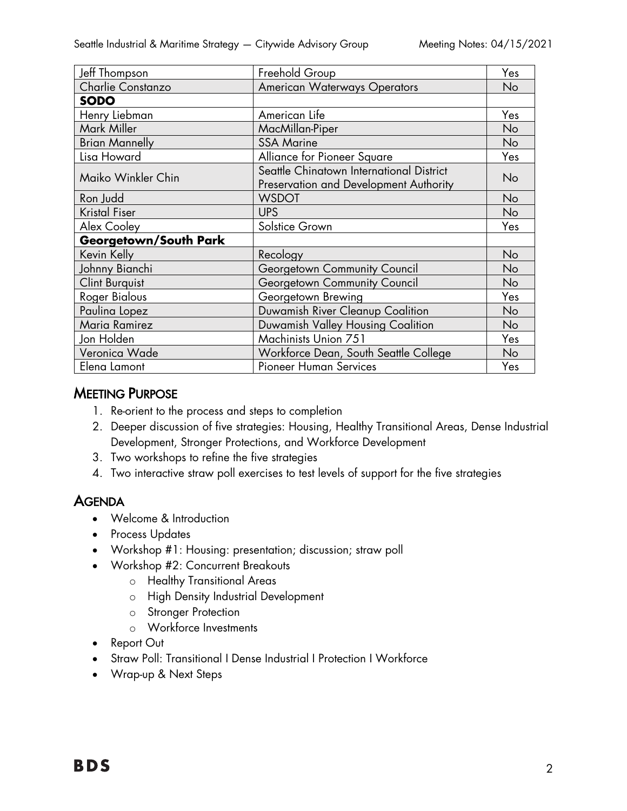| Freehold Group                                                                     | Yes |
|------------------------------------------------------------------------------------|-----|
| <b>American Waterways Operators</b>                                                | No  |
|                                                                                    |     |
| American Life                                                                      | Yes |
| MacMillan-Piper                                                                    | No  |
| <b>SSA Marine</b>                                                                  | No  |
| Alliance for Pioneer Square                                                        | Yes |
| Seattle Chinatown International District<br>Preservation and Development Authority | No  |
| <b>WSDOT</b>                                                                       | No  |
| <b>UPS</b>                                                                         | No  |
| Solstice Grown                                                                     | Yes |
|                                                                                    |     |
| Recology                                                                           | No  |
| Georgetown Community Council                                                       | No  |
| Georgetown Community Council                                                       | No  |
| Georgetown Brewing                                                                 | Yes |
| Duwamish River Cleanup Coalition                                                   | No  |
| Duwamish Valley Housing Coalition                                                  | No  |
| Machinists Union 751                                                               | Yes |
| Workforce Dean, South Seattle College                                              | No  |
| <b>Pioneer Human Services</b>                                                      | Yes |
|                                                                                    |     |

#### **MEETING PURPOSE**

- 1. Re-orient to the process and steps to completion
- 2. Deeper discussion of five strategies: Housing, Healthy Transitional Areas, Dense Industrial Development, Stronger Protections, and Workforce Development
- 3. Two workshops to refine the five strategies
- 4. Two interactive straw poll exercises to test levels of support for the five strategies

### **AGENDA**

- Welcome & Introduction
- Process Updates
- Workshop #1: Housing: presentation; discussion; straw poll
- Workshop #2: Concurrent Breakouts
	- o Healthy Transitional Areas
	- o High Density Industrial Development
	- o Stronger Protection
	- o Workforce Investments
- Report Out
- Straw Poll: Transitional I Dense Industrial I Protection I Workforce
- Wrap-up & Next Steps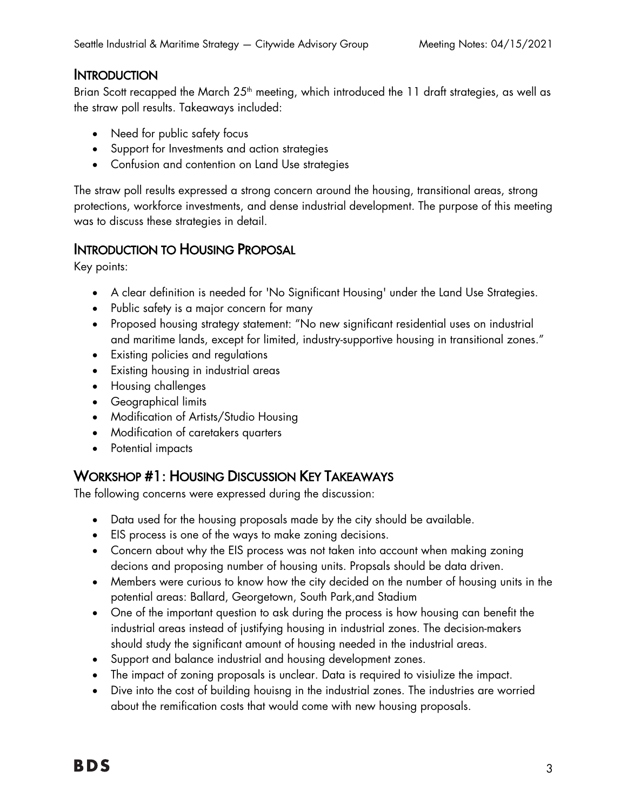## **INTRODUCTION**

Brian Scott recapped the March  $25<sup>th</sup>$  meeting, which introduced the 11 draft strategies, as well as the straw poll results. Takeaways included:

- Need for public safety focus
- Support for Investments and action strategies
- Confusion and contention on Land Use strategies

The straw poll results expressed a strong concern around the housing, transitional areas, strong protections, workforce investments, and dense industrial development. The purpose of this meeting was to discuss these strategies in detail.

## INTRODUCTION TO HOUSING PROPOSAL

Key points:

- A clear definition is needed for 'No Significant Housing' under the Land Use Strategies.
- Public safety is a major concern for many
- Proposed housing strategy statement: "No new significant residential uses on industrial and maritime lands, except for limited, industry-supportive housing in transitional zones."
- Existing policies and regulations
- Existing housing in industrial areas
- Housing challenges
- Geographical limits
- Modification of Artists/Studio Housing
- Modification of caretakers quarters
- Potential impacts

## WORKSHOP #1: HOUSING DISCUSSION KEY TAKEAWAYS

The following concerns were expressed during the discussion:

- Data used for the housing proposals made by the city should be available.
- EIS process is one of the ways to make zoning decisions.
- Concern about why the EIS process was not taken into account when making zoning decions and proposing number of housing units. Propsals should be data driven.
- Members were curious to know how the city decided on the number of housing units in the potential areas: Ballard, Georgetown, South Park,and Stadium
- One of the important question to ask during the process is how housing can benefit the industrial areas instead of justifying housing in industrial zones. The decision-makers should study the significant amount of housing needed in the industrial areas.
- Support and balance industrial and housing development zones.
- The impact of zoning proposals is unclear. Data is required to visiulize the impact.
- Dive into the cost of building houisng in the industrial zones. The industries are worried about the remification costs that would come with new housing proposals.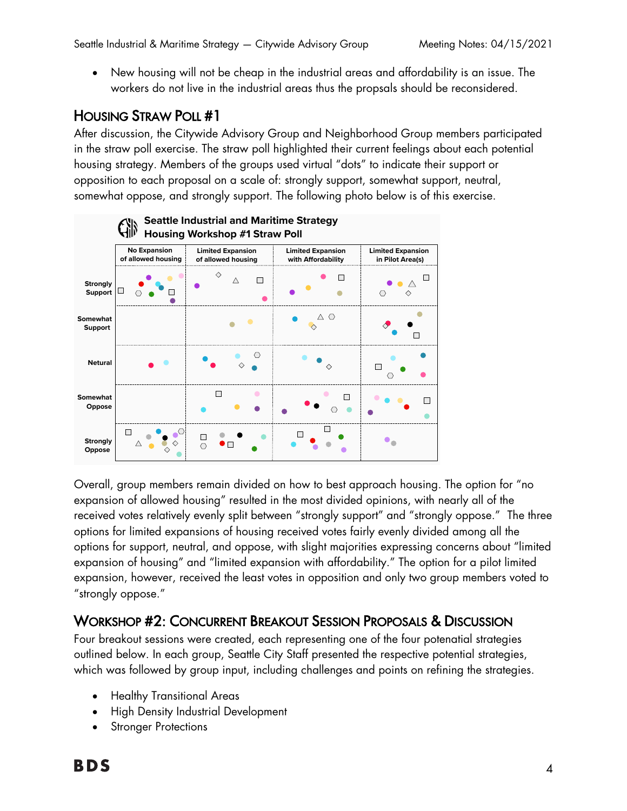• New housing will not be cheap in the industrial areas and affordability is an issue. The workers do not live in the industrial areas thus the propsals should be reconsidered.

## HOUSING STRAW POLL #1

After discussion, the Citywide Advisory Group and Neighborhood Group members participated in the straw poll exercise. The straw poll highlighted their current feelings about each potential housing strategy. Members of the groups used virtual "dots" to indicate their support or opposition to each proposal on a scale of: strongly support, somewhat support, neutral, somewhat oppose, and strongly support. The following photo below is of this exercise.



Overall, group members remain divided on how to best approach housing. The option for "no & expansion of allowed housing" resulted in the most divided opinions, with nearly all of the received votes relatively evenly split between "strongly support" and "strongly oppose." The three options for limited expansions of housing received votes fairly evenly divided among all the options for support, neutral, and oppose, with slight majorities expressing concerns about "limited expansion of housing" and "limited expansion with affordability." The option for a pilot limited expansion, however, received the least votes in opposition and only two group members voted to "strongly oppose." -... -

# WORKSHOP #2: CONCURRENT BREAKOUT SESSION PROPOSALS & DISCUSSION

Four breakout sessions were created, each representing one of the four potenatial strategies outlined below. In each group, Seattle City Staff presented the respective potential strategies, which was followed by group input, including challenges and points on refining the strategies.

- Healthy Transitional Areas
- High Density Industrial Development
- **Stronger Protections**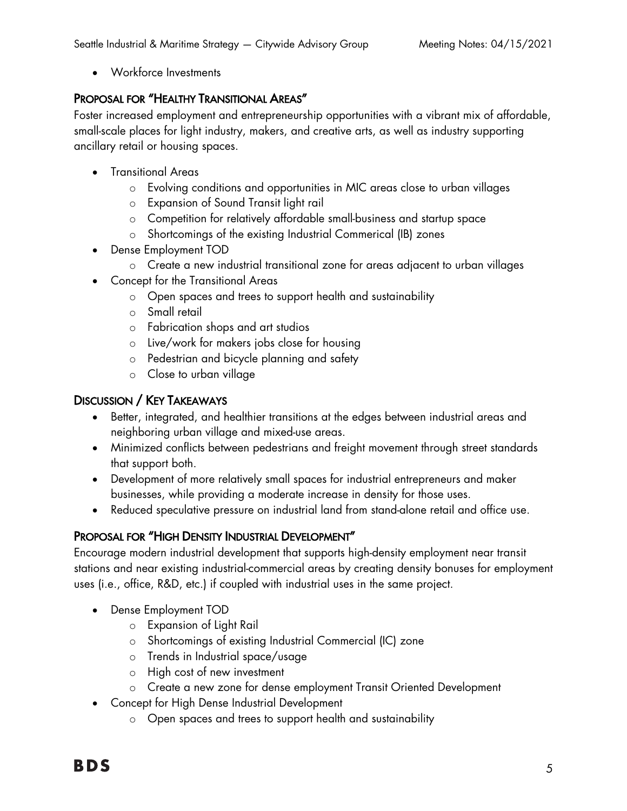• Workforce Investments

#### PROPOSAL FOR "HEALTHY TRANSITIONAL AREAS"

Foster increased employment and entrepreneurship opportunities with a vibrant mix of affordable, small-scale places for light industry, makers, and creative arts, as well as industry supporting ancillary retail or housing spaces.

- Transitional Areas
	- o Evolving conditions and opportunities in MIC areas close to urban villages
	- o Expansion of Sound Transit light rail
	- o Competition for relatively affordable small-business and startup space
	- o Shortcomings of the existing Industrial Commerical (IB) zones
- Dense Employment TOD
	- o Create a new industrial transitional zone for areas adjacent to urban villages
- Concept for the Transitional Areas
	- o Open spaces and trees to support health and sustainability
	- o Small retail
	- o Fabrication shops and art studios
	- o Live/work for makers jobs close for housing
	- o Pedestrian and bicycle planning and safety
	- o Close to urban village

#### DISCUSSION / KEY TAKEAWAYS

- Better, integrated, and healthier transitions at the edges between industrial areas and neighboring urban village and mixed-use areas.
- Minimized conflicts between pedestrians and freight movement through street standards that support both.
- Development of more relatively small spaces for industrial entrepreneurs and maker businesses, while providing a moderate increase in density for those uses.
- Reduced speculative pressure on industrial land from stand-alone retail and office use.

### PROPOSAL FOR "HIGH DENSITY INDUSTRIAL DEVELOPMENT"

Encourage modern industrial development that supports high-density employment near transit stations and near existing industrial-commercial areas by creating density bonuses for employment uses (i.e., office, R&D, etc.) if coupled with industrial uses in the same project.

- Dense Employment TOD
	- o Expansion of Light Rail
	- o Shortcomings of existing Industrial Commercial (IC) zone
	- o Trends in Industrial space/usage
	- o High cost of new investment
	- o Create a new zone for dense employment Transit Oriented Development
- Concept for High Dense Industrial Development
	- o Open spaces and trees to support health and sustainability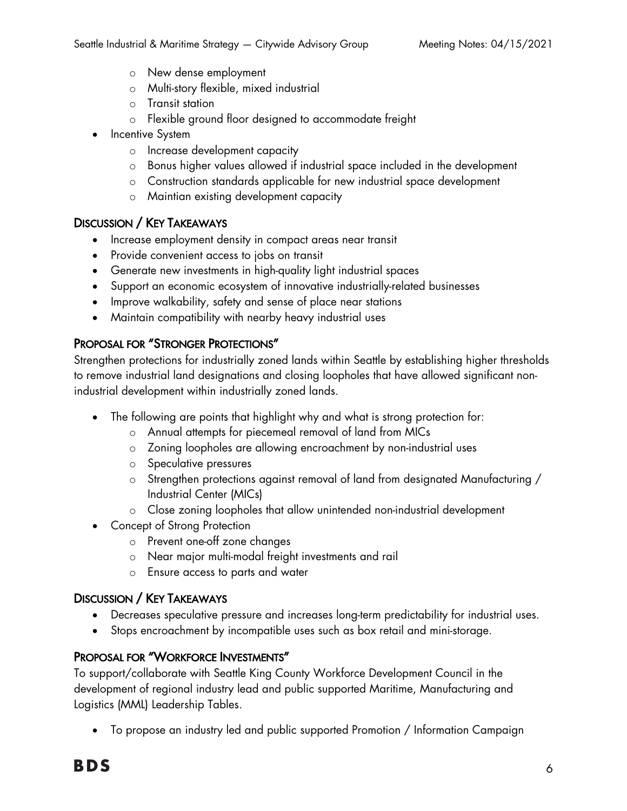- o New dense employment
- o Multi-story flexible, mixed industrial
- o Transit station
- o Flexible ground floor designed to accommodate freight
- **Incentive System** 
	- o Increase development capacity
	- o Bonus higher values allowed if industrial space included in the development
	- o Construction standards applicable for new industrial space development
	- o Maintian existing development capacity

#### DISCUSSION / KEY TAKEAWAYS

- Increase employment density in compact areas near transit
- Provide convenient access to jobs on transit
- Generate new investments in high-quality light industrial spaces
- Support an economic ecosystem of innovative industrially-related businesses
- Improve walkability, safety and sense of place near stations
- Maintain compatibility with nearby heavy industrial uses

#### PROPOSAL FOR "STRONGER PROTECTIONS"

Strengthen protections for industrially zoned lands within Seattle by establishing higher thresholds to remove industrial land designations and closing loopholes that have allowed significant nonindustrial development within industrially zoned lands.

- The following are points that highlight why and what is strong protection for:
	- o Annual attempts for piecemeal removal of land from MICs
	- o Zoning loopholes are allowing encroachment by non-industrial uses
	- o Speculative pressures
	- o Strengthen protections against removal of land from designated Manufacturing / Industrial Center (MICs)
	- o Close zoning loopholes that allow unintended non-industrial development
- Concept of Strong Protection
	- o Prevent one-off zone changes
	- o Near major multi-modal freight investments and rail
	- o Ensure access to parts and water

#### DISCUSSION / KEY TAKEAWAYS

- Decreases speculative pressure and increases long-term predictability for industrial uses.
- Stops encroachment by incompatible uses such as box retail and mini-storage.

#### PROPOSAL FOR "WORKFORCE INVESTMENTS"

To support/collaborate with Seattle King County Workforce Development Council in the development of regional industry lead and public supported Maritime, Manufacturing and Logistics (MML) Leadership Tables.

• To propose an industry led and public supported Promotion / Information Campaign